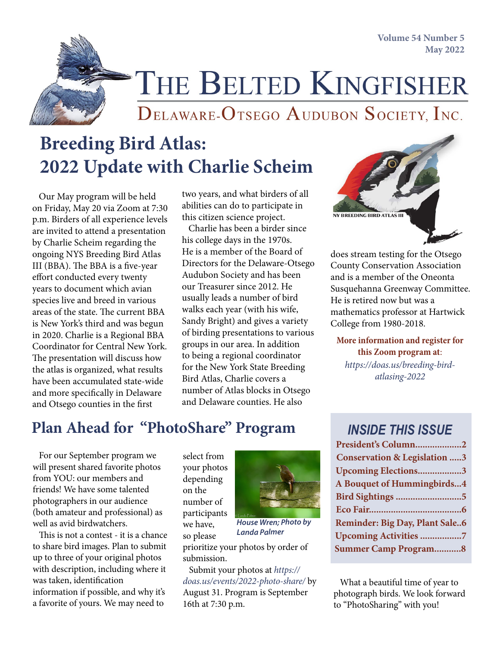**Volume 54 Number 5 May 2022**



THE BELTED KINGFISHER

DELAWARE-OTSEGO AUDUBON SOCIETY, INC.

# **Breeding Bird Atlas: 2022 Update with Charlie Scheim**

 Our May program will be held on Friday, May 20 via Zoom at 7:30 p.m. Birders of all experience levels are invited to attend a presentation by Charlie Scheim regarding the ongoing NYS Breeding Bird Atlas III (BBA). The BBA is a five-year effort conducted every twenty years to document which avian species live and breed in various areas of the state. The current BBA is New York's third and was begun in 2020. Charlie is a Regional BBA Coordinator for Central New York. The presentation will discuss how the atlas is organized, what results have been accumulated state-wide and more specifically in Delaware and Otsego counties in the first

two years, and what birders of all abilities can do to participate in this citizen science project.

 Charlie has been a birder since his college days in the 1970s. He is a member of the Board of Directors for the Delaware-Otsego Audubon Society and has been our Treasurer since 2012. He usually leads a number of bird walks each year (with his wife, Sandy Bright) and gives a variety of birding presentations to various groups in our area. In addition to being a regional coordinator for the New York State Breeding Bird Atlas, Charlie covers a number of Atlas blocks in Otsego and Delaware counties. He also



does stream testing for the Otsego County Conservation Association and is a member of the Oneonta Susquehanna Greenway Committee. He is retired now but was a mathematics professor at Hartwick College from 1980-2018.

**More information and register for this Zoom program at**:

*[https://doas.us/breeding-bird](https://doas.us/breeding-bird-atlasing-2022)[atlasing-2022](https://doas.us/breeding-bird-atlasing-2022)*

## **Plan Ahead for "PhotoShare" Program**

 For our September program we will present shared favorite photos from YOU: our members and friends! We have some talented photographers in our audience (both amateur and professional) as well as avid birdwatchers.

 This is not a contest - it is a chance to share bird images. Plan to submit up to three of your original photos with description, including where it was taken, identification information if possible, and why it's a favorite of yours. We may need to

select from your photos depending on the number of participants we have, so please



*House Wren; Photo by Landa Palmer*

prioritize your photos by order of submission.

 Submit your photos at *[https://](https://doas.us/events/2022-photo-share/) [doas.us/events/2022-photo-share/](https://doas.us/events/2022-photo-share/)* by August 31. Program is September 16th at 7:30 p.m.

### *INSIDE THIS ISSUE*

| President's Column2                     |
|-----------------------------------------|
| <b>Conservation &amp; Legislation 3</b> |
| Upcoming Elections3                     |
| A Bouquet of Hummingbirds4              |
| Bird Sightings 5                        |
|                                         |
| Reminder: Big Day, Plant Sale6          |
| <b>Upcoming Activities 7</b>            |
| <b>Summer Camp Program8</b>             |
|                                         |

 What a beautiful time of year to photograph birds. We look forward to "PhotoSharing" with you!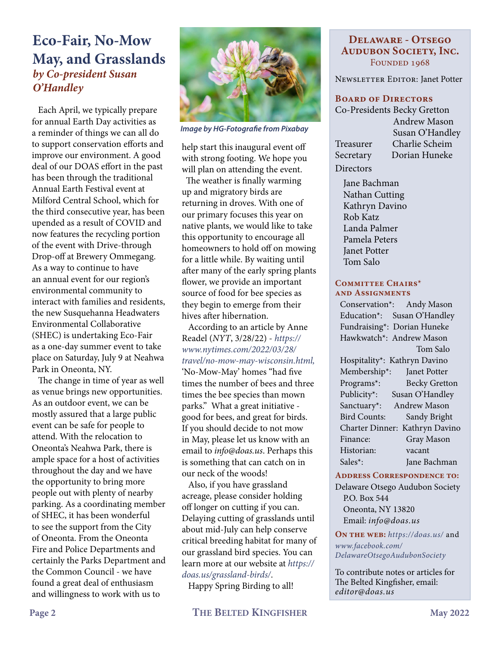### **Eco-Fair, No-Mow May, and Grasslands** *by Co-president Susan O'Handley*

 Each April, we typically prepare for annual Earth Day activities as a reminder of things we can all do to support conservation efforts and improve our environment. A good deal of our DOAS effort in the past has been through the traditional Annual Earth Festival event at Milford Central School, which for the third consecutive year, has been upended as a result of COVID and now features the recycling portion of the event with Drive-through Drop-off at Brewery Ommegang. As a way to continue to have an annual event for our region's environmental community to interact with families and residents, the new Susquehanna Headwaters Environmental Collaborative (SHEC) is undertaking Eco-Fair as a one-day summer event to take place on Saturday, July 9 at Neahwa Park in Oneonta, NY.

 The change in time of year as well as venue brings new opportunities. As an outdoor event, we can be mostly assured that a large public event can be safe for people to attend. With the relocation to Oneonta's Neahwa Park, there is ample space for a host of activities throughout the day and we have the opportunity to bring more people out with plenty of nearby parking. As a coordinating member of SHEC, it has been wonderful to see the support from the City of Oneonta. From the Oneonta Fire and Police Departments and certainly the Parks Department and the Common Council - we have found a great deal of enthusiasm and willingness to work with us to



*Image by HG-Fotografie from Pixabay*

help start this inaugural event off with strong footing. We hope you will plan on attending the event.

 The weather is finally warming up and migratory birds are returning in droves. With one of our primary focuses this year on native plants, we would like to take this opportunity to encourage all homeowners to hold off on mowing for a little while. By waiting until after many of the early spring plants flower, we provide an important source of food for bee species as they begin to emerge from their hives after hibernation.

 According to an article by Anne Readel (*NYT*, 3/28/22) - *[https://](https://www.nytimes.com/2022/03/28/travel/no-mow-may-wisconsin.html) [www.nytimes.com/2022/03/28/](https://www.nytimes.com/2022/03/28/travel/no-mow-may-wisconsin.html) [travel/no-mow-may-wisconsin.html](https://www.nytimes.com/2022/03/28/travel/no-mow-may-wisconsin.html),*  'No-Mow-May' homes "had five times the number of bees and three times the bee species than mown parks." What a great initiative good for bees, and great for birds. If you should decide to not mow in May, please let us know with an email to *info@doas.us*. Perhaps this is something that can catch on in our neck of the woods!

 Also, if you have grassland acreage, please consider holding off longer on cutting if you can. Delaying cutting of grasslands until about mid-July can help conserve critical breeding habitat for many of our grassland bird species. You can learn more at our website at *https:// doas.us/grassland-birds/*.

Happy Spring Birding to all!

NEWSLETTER EDITOR: Janet Potter

#### **Board of Directors**

Co-Presidents Becky Gretton Andrew Mason Susan O'Handley Treasurer Charlie Scheim Secretary Dorian Huneke

 Jane Bachman Nathan Cutting Kathryn Davino Rob Katz Landa Palmer Pamela Peters Janet Potter Tom Salo

**Directors** 

#### **Committee Chairs\* and Assignments**

Conservation\*: Andy Mason Education\*: Susan O'Handley Fundraising\*: Dorian Huneke Hawkwatch\*: Andrew Mason Tom Salo Hospitality\*: Kathryn Davino Membership\*: Janet Potter Programs\*: Becky Gretton Publicity\*: Susan O'Handley Sanctuary\*: Andrew Mason Bird Counts: Sandy Bright Charter Dinner: Kathryn Davino Finance: Gray Mason Historian: vacant Sales\*: Jane Bachman

#### **Address Correspondence to:**

Delaware Otsego Audubon Society P.O. Box 544 Oneonta, NY 13820 Email: *[info@doas.us](mailto:info@doas.us)*

**On the web:** *https://doas.us/* and

*[www.facebook.com/](http://www.facebook.com/DelawareOtsegoAudubonSociety) [DelawareOtsegoAudubonSociety](http://www.facebook.com/DelawareOtsegoAudubonSociety)*

To contribute notes or articles for The Belted Kingfisher, email: *[editor@doas.us](mailto:editor@doas.us)*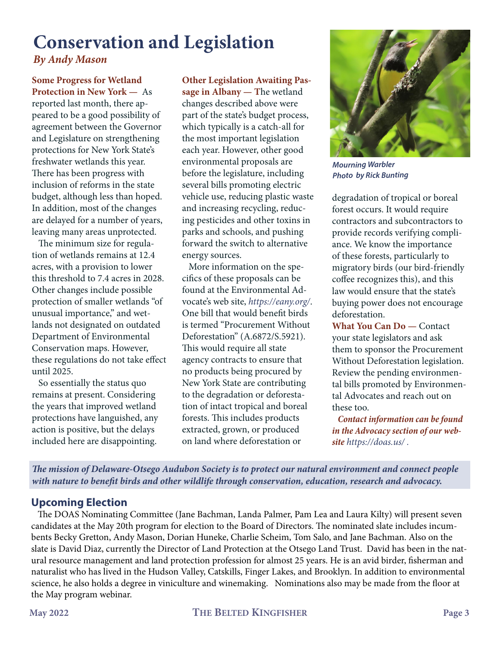## **Conservation and Legislation** *By Andy Mason*

**Some Progress for Wetland Protection in New York —** As reported last month, there appeared to be a good possibility of agreement between the Governor and Legislature on strengthening protections for New York State's freshwater wetlands this year. There has been progress with inclusion of reforms in the state budget, although less than hoped. In addition, most of the changes are delayed for a number of years, leaving many areas unprotected.

 The minimum size for regulation of wetlands remains at 12.4 acres, with a provision to lower this threshold to 7.4 acres in 2028. Other changes include possible protection of smaller wetlands "of unusual importance," and wetlands not designated on outdated Department of Environmental Conservation maps. However, these regulations do not take effect until 2025.

 So essentially the status quo remains at present. Considering the years that improved wetland protections have languished, any action is positive, but the delays included here are disappointing.

**Other Legislation Awaiting Pas-**

**sage in Albany — T**he wetland changes described above were part of the state's budget process, which typically is a catch-all for the most important legislation each year. However, other good environmental proposals are before the legislature, including several bills promoting electric vehicle use, reducing plastic waste and increasing recycling, reducing pesticides and other toxins in parks and schools, and pushing forward the switch to alternative energy sources.

 More information on the specifics of these proposals can be found at the Environmental Advocate's web site, *https://eany.org/*. One bill that would benefit birds is termed "Procurement Without Deforestation" (A.6872/S.5921). This would require all state agency contracts to ensure that no products being procured by New York State are contributing to the degradation or deforestation of intact tropical and boreal forests. This includes products extracted, grown, or produced on land where deforestation or



*Mourning Warbler Photo by Rick Bunting*

degradation of tropical or boreal forest occurs. It would require contractors and subcontractors to provide records verifying compliance. We know the importance of these forests, particularly to migratory birds (our bird-friendly coffee recognizes this), and this law would ensure that the state's buying power does not encourage deforestation.

**What You Can Do —** Contact your state legislators and ask them to sponsor the Procurement Without Deforestation legislation. Review the pending environmental bills promoted by Environmental Advocates and reach out on these too.

 *Contact information can be found in the Advocacy section of our website https://doas.us/ .*

*The mission of Delaware-Otsego Audubon Society is to protect our natural environment and connect people with nature to benefit birds and other wildlife through conservation, education, research and advocacy.* 

### **Upcoming Election**

 The DOAS Nominating Committee (Jane Bachman, Landa Palmer, Pam Lea and Laura Kilty) will present seven candidates at the May 20th program for election to the Board of Directors. The nominated slate includes incumbents Becky Gretton, Andy Mason, Dorian Huneke, Charlie Scheim, Tom Salo, and Jane Bachman. Also on the slate is David Diaz, currently the Director of Land Protection at the Otsego Land Trust. David has been in the natural resource management and land protection profession for almost 25 years. He is an avid birder, fisherman and naturalist who has lived in the Hudson Valley, Catskills, Finger Lakes, and Brooklyn. In addition to environmental science, he also holds a degree in viniculture and winemaking. Nominations also may be made from the floor at the May program webinar.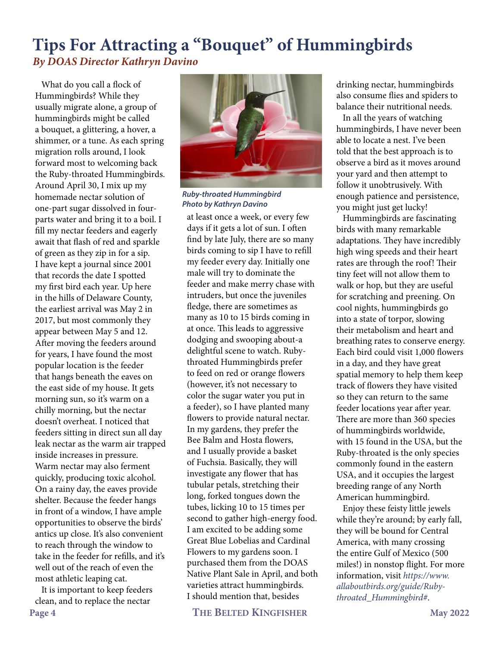### **Tips For Attracting a "Bouquet" of Hummingbirds** *By DOAS Director Kathryn Davino*

 What do you call a flock of Hummingbirds? While they usually migrate alone, a group of hummingbirds might be called a bouquet, a glittering, a hover, a shimmer, or a tune. As each spring migration rolls around, I look forward most to welcoming back the Ruby-throated Hummingbirds. Around April 30, I mix up my homemade nectar solution of one-part sugar dissolved in fourparts water and bring it to a boil. I fill my nectar feeders and eagerly await that flash of red and sparkle of green as they zip in for a sip. I have kept a journal since 2001 that records the date I spotted my first bird each year. Up here in the hills of Delaware County, the earliest arrival was May 2 in 2017, but most commonly they appear between May 5 and 12. After moving the feeders around for years, I have found the most popular location is the feeder that hangs beneath the eaves on the east side of my house. It gets morning sun, so it's warm on a chilly morning, but the nectar doesn't overheat. I noticed that feeders sitting in direct sun all day leak nectar as the warm air trapped inside increases in pressure. Warm nectar may also ferment quickly, producing toxic alcohol. On a rainy day, the eaves provide shelter. Because the feeder hangs in front of a window, I have ample opportunities to observe the birds' antics up close. It's also convenient to reach through the window to take in the feeder for refills, and it's well out of the reach of even the most athletic leaping cat.

 It is important to keep feeders clean, and to replace the nectar



*Ruby-throated Hummingbird Photo by Kathryn Davino*

at least once a week, or every few days if it gets a lot of sun. I often find by late July, there are so many birds coming to sip I have to refill my feeder every day. Initially one male will try to dominate the feeder and make merry chase with intruders, but once the juveniles fledge, there are sometimes as many as 10 to 15 birds coming in at once. This leads to aggressive dodging and swooping about-a delightful scene to watch. Rubythroated Hummingbirds prefer to feed on red or orange flowers (however, it's not necessary to color the sugar water you put in a feeder), so I have planted many flowers to provide natural nectar. In my gardens, they prefer the Bee Balm and Hosta flowers, and I usually provide a basket of Fuchsia. Basically, they will investigate any flower that has tubular petals, stretching their long, forked tongues down the tubes, licking 10 to 15 times per second to gather high-energy food. I am excited to be adding some Great Blue Lobelias and Cardinal Flowers to my gardens soon. I purchased them from the DOAS Native Plant Sale in April, and both varieties attract hummingbirds. I should mention that, besides

**Page 4 THE BELTED KINGFISHER May 2022**

drinking nectar, hummingbirds also consume flies and spiders to balance their nutritional needs.

 In all the years of watching hummingbirds, I have never been able to locate a nest. I've been told that the best approach is to observe a bird as it moves around your yard and then attempt to follow it unobtrusively. With enough patience and persistence, you might just get lucky!

 Hummingbirds are fascinating birds with many remarkable adaptations. They have incredibly high wing speeds and their heart rates are through the roof! Their tiny feet will not allow them to walk or hop, but they are useful for scratching and preening. On cool nights, hummingbirds go into a state of torpor, slowing their metabolism and heart and breathing rates to conserve energy. Each bird could visit 1,000 flowers in a day, and they have great spatial memory to help them keep track of flowers they have visited so they can return to the same feeder locations year after year. There are more than 360 species of hummingbirds worldwide, with 15 found in the USA, but the Ruby-throated is the only species commonly found in the eastern USA, and it occupies the largest breeding range of any North American hummingbird.

 Enjoy these feisty little jewels while they're around; by early fall, they will be bound for Central America, with many crossing the entire Gulf of Mexico (500 miles!) in nonstop flight. For more information, visit *[https://www.](https://www.allaboutbirds.org/guide/Ruby-throated_Hummingbird#) [allaboutbirds.org/guide/Ruby](https://www.allaboutbirds.org/guide/Ruby-throated_Hummingbird#)[throated\\_Hummingbird#](https://www.allaboutbirds.org/guide/Ruby-throated_Hummingbird#)*.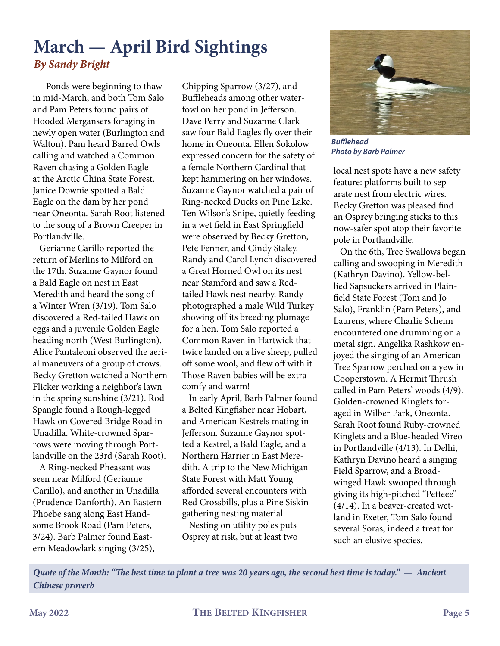### **March — April Bird Sightings** *By Sandy Bright*

 Ponds were beginning to thaw in mid-March, and both Tom Salo and Pam Peters found pairs of Hooded Mergansers foraging in newly open water (Burlington and Walton). Pam heard Barred Owls calling and watched a Common Raven chasing a Golden Eagle at the Arctic China State Forest. Janice Downie spotted a Bald Eagle on the dam by her pond near Oneonta. Sarah Root listened to the song of a Brown Creeper in Portlandville.

 Gerianne Carillo reported the return of Merlins to Milford on the 17th. Suzanne Gaynor found a Bald Eagle on nest in East Meredith and heard the song of a Winter Wren (3/19). Tom Salo discovered a Red-tailed Hawk on eggs and a juvenile Golden Eagle heading north (West Burlington). Alice Pantaleoni observed the aerial maneuvers of a group of crows. Becky Gretton watched a Northern Flicker working a neighbor's lawn in the spring sunshine (3/21). Rod Spangle found a Rough-legged Hawk on Covered Bridge Road in Unadilla. White-crowned Sparrows were moving through Portlandville on the 23rd (Sarah Root).

 A Ring-necked Pheasant was seen near Milford (Gerianne Carillo), and another in Unadilla (Prudence Danforth). An Eastern Phoebe sang along East Handsome Brook Road (Pam Peters, 3/24). Barb Palmer found Eastern Meadowlark singing (3/25),

Chipping Sparrow (3/27), and Buffleheads among other waterfowl on her pond in Jefferson. Dave Perry and Suzanne Clark saw four Bald Eagles fly over their home in Oneonta. Ellen Sokolow expressed concern for the safety of a female Northern Cardinal that kept hammering on her windows. Suzanne Gaynor watched a pair of Ring-necked Ducks on Pine Lake. Ten Wilson's Snipe, quietly feeding in a wet field in East Springfield were observed by Becky Gretton, Pete Fenner, and Cindy Staley. Randy and Carol Lynch discovered a Great Horned Owl on its nest near Stamford and saw a Redtailed Hawk nest nearby. Randy photographed a male Wild Turkey showing off its breeding plumage for a hen. Tom Salo reported a Common Raven in Hartwick that twice landed on a live sheep, pulled off some wool, and flew off with it. Those Raven babies will be extra comfy and warm!

 In early April, Barb Palmer found a Belted Kingfisher near Hobart, and American Kestrels mating in Jefferson. Suzanne Gaynor spotted a Kestrel, a Bald Eagle, and a Northern Harrier in East Meredith. A trip to the New Michigan State Forest with Matt Young afforded several encounters with Red Crossbills, plus a Pine Siskin gathering nesting material.

 Nesting on utility poles puts Osprey at risk, but at least two



*Bufflehead Photo by Barb Palmer*

local nest spots have a new safety feature: platforms built to separate nest from electric wires. Becky Gretton was pleased find an Osprey bringing sticks to this now-safer spot atop their favorite pole in Portlandville.

 On the 6th, Tree Swallows began calling and swooping in Meredith (Kathryn Davino). Yellow-bellied Sapsuckers arrived in Plainfield State Forest (Tom and Jo Salo), Franklin (Pam Peters), and Laurens, where Charlie Scheim encountered one drumming on a metal sign. Angelika Rashkow enjoyed the singing of an American Tree Sparrow perched on a yew in Cooperstown. A Hermit Thrush called in Pam Peters' woods (4/9). Golden-crowned Kinglets foraged in Wilber Park, Oneonta. Sarah Root found Ruby-crowned Kinglets and a Blue-headed Vireo in Portlandville (4/13). In Delhi, Kathryn Davino heard a singing Field Sparrow, and a Broadwinged Hawk swooped through giving its high-pitched "Petteee" (4/14). In a beaver-created wetland in Exeter, Tom Salo found several Soras, indeed a treat for such an elusive species.

*Quote of the Month: "The best time to plant a tree was 20 years ago, the second best time is today." — Ancient Chinese proverb*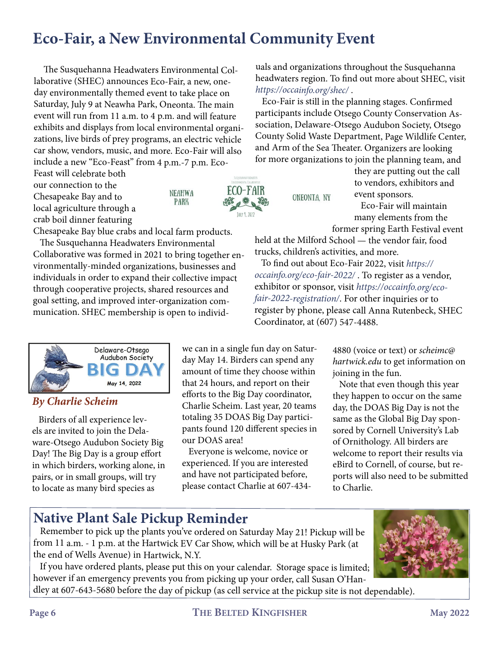## **Eco-Fair, a New Environmental Community Event**

NEAHWA

**PARK** 

The Susquehanna Headwaters Environmental Collaborative (SHEC) announces Eco-Fair, a new, oneday environmentally themed event to take place on Saturday, July 9 at Neawha Park, Oneonta. The main event will run from 11 a.m. to 4 p.m. and will feature exhibits and displays from local environmental organizations, live birds of prey programs, an electric vehicle car show, vendors, music, and more. Eco-Fair will also include a new "Eco-Feast" from 4 p.m.-7 p.m. Eco-

Feast will celebrate both our connection to the Chesapeake Bay and to local agriculture through a crab boil dinner featuring



Chesapeake Bay blue crabs and local farm products.

 The Susquehanna Headwaters Environmental Collaborative was formed in 2021 to bring together environmentally-minded organizations, businesses and individuals in order to expand their collective impact through cooperative projects, shared resources and goal setting, and improved inter-organization communication. SHEC membership is open to individ-



#### *By Charlie Scheim*

 Birders of all experience levels are invited to join the Delaware-Otsego Audubon Society Big Day! The Big Day is a group effort in which birders, working alone, in pairs, or in small groups, will try to locate as many bird species as

we can in a single fun day on Saturday May 14. Birders can spend any amount of time they choose within that 24 hours, and report on their efforts to the Big Day coordinator, Charlie Scheim. Last year, 20 teams totaling 35 DOAS Big Day participants found 120 different species in our DOAS area!

 Everyone is welcome, novice or experienced. If you are interested and have not participated before, please contact Charlie at 607-434-

uals and organizations throughout the Susquehanna headwaters region. To find out more about SHEC, visit *https://occainfo.org/shec/* .

 Eco-Fair is still in the planning stages. Confirmed participants include Otsego County Conservation Association, Delaware-Otsego Audubon Society, Otsego County Solid Waste Department, Page Wildlife Center, and Arm of the Sea Theater. Organizers are looking for more organizations to join the planning team, and

ONEONTA, NY

they are putting out the call to vendors, exhibitors and event sponsors.

 Eco-Fair will maintain many elements from the former spring Earth Festival event

held at the Milford School — the vendor fair, food trucks, children's activities, and more.

 To find out about Eco-Fair 2022, visit *https:// occainfo.org/eco-fair-2022/* . To register as a vendor, exhibitor or sponsor, visit *https://occainfo.org/ecofair-2022-registration/*. For other inquiries or to register by phone, please call Anna Rutenbeck, SHEC Coordinator, at (607) 547-4488.

> 4880 (voice or text) or *scheimc@ hartwick.edu* to get information on joining in the fun.

 Note that even though this year they happen to occur on the same day, the DOAS Big Day is not the same as the Global Big Day sponsored by Cornell University's Lab of Ornithology. All birders are welcome to report their results via eBird to Cornell, of course, but reports will also need to be submitted to Charlie.

### **Native Plant Sale Pickup Reminder**

 Remember to pick up the plants you've ordered on Saturday May 21! Pickup will be from 11 a.m. - 1 p.m. at the Hartwick EV Car Show, which will be at Husky Park (at the end of Wells Avenue) in Hartwick, N.Y.

 If you have ordered plants, please put this on your calendar. Storage space is limited; however if an emergency prevents you from picking up your order, call Susan O'Handley at 607-643-5680 before the day of pickup (as cell service at the pickup site is not dependable).

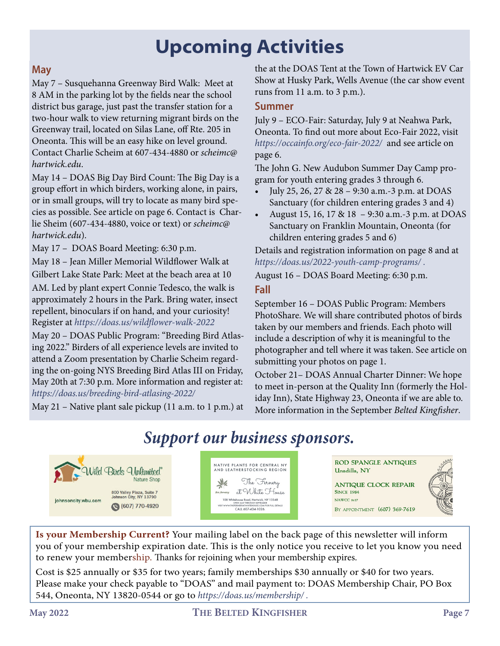# **Upcoming Activities**

### **May**

May 7 – Susquehanna Greenway Bird Walk: Meet at 8 AM in the parking lot by the fields near the school district bus garage, just past the transfer station for a two-hour walk to view returning migrant birds on the Greenway trail, located on Silas Lane, off Rte. 205 in Oneonta. This will be an easy hike on level ground. Contact Charlie Scheim at 607-434-4880 or *scheimc@ hartwick.edu*.

May 14 – DOAS Big Day Bird Count: The Big Day is a group effort in which birders, working alone, in pairs, or in small groups, will try to locate as many bird species as possible. See article on page 6. Contact is Charlie Sheim (607-434-4880, voice or text) or *scheimc@ hartwick.edu*).

May 17 – DOAS Board Meeting: 6:30 p.m.

May 18 – Jean Miller Memorial Wildflower Walk at Gilbert Lake State Park: Meet at the beach area at 10

AM. Led by plant expert Connie Tedesco, the walk is approximately 2 hours in the Park. Bring water, insect repellent, binoculars if on hand, and your curiosity! Register at *https://doas.us/wildflower-walk-2022*

May 20 – DOAS Public Program: "Breeding Bird Atlasing 2022." Birders of all experience levels are invited to attend a Zoom presentation by Charlie Scheim regarding the on-going NYS Breeding Bird Atlas III on Friday, May 20th at 7:30 p.m. More information and register at: *https://doas.us/breeding-bird-atlasing-2022/*

May 21 – Native plant sale pickup (11 a.m. to 1 p.m.) at

the at the DOAS Tent at the Town of Hartwick EV Car Show at Husky Park, Wells Avenue (the car show event runs from 11 a.m. to 3 p.m.).

### **Summer**

July 9 – ECO-Fair: Saturday, July 9 at Neahwa Park, Oneonta. To find out more about Eco-Fair 2022, visit *https://occainfo.org/eco-fair-2022/* and see article on page 6.

The John G. New Audubon Summer Day Camp program for youth entering grades 3 through 6.

- July 25, 26, 27 & 28 9:30 a.m.-3 p.m. at DOAS Sanctuary (for children entering grades 3 and 4)
- August 15, 16, 17 & 18 9:30 a.m.-3 p.m. at DOAS Sanctuary on Franklin Mountain, Oneonta (for children entering grades 5 and 6)

Details and registration information on page 8 and at *https://doas.us/2022-youth-camp-programs/ .*

August 16 – DOAS Board Meeting: 6:30 p.m.

#### **Fall**

September 16 – DOAS Public Program: Members PhotoShare. We will share contributed photos of birds taken by our members and friends. Each photo will include a description of why it is meaningful to the photographer and tell where it was taken. See article on submitting your photos on page 1.

October 21– DOAS Annual Charter Dinner: We hope to meet in-person at the Quality Inn (formerly the Holiday Inn), State Highway 23, Oneonta if we are able to. More information in the September *Belted Kingfisher*.

## *Support our business sponsors.*



NATIVE PLANTS FOR CENTRAL NY<br>AND LEATHERSTOCKING REGION 美 The Fernery at White House 108 Whitehouse Road, Hartwick, NY 13348<br>OPEN MAY THROUGH SEPTEMBER<br>VISIT WWW.THEFERNERYATWHITEHOUSE.COM FOR FULL DETAILS FERNERYATWHITEHOUSE.COM<br>CALL 607-434-1026

**ROD SPANGLE ANTIQUES** Unadilla, NY

**ANTIQUE CLOCK REPAIR SINCE 1984** NAWCC 8617 BY APPOINTMENT (607) 369-7619



**Is your Membership Current?** Your mailing label on the back page of this newsletter will inform you of your membership expiration date. This is the only notice you receive to let you know you need to renew your membership. Thanks for rejoining when your membership expires.

Cost is \$25 annually or \$35 for two years; family memberships \$30 annually or \$40 for two years. Please make your check payable to "DOAS" and mail payment to: DOAS Membership Chair, PO Box 544, Oneonta, NY 13820-0544 or go to *https://doas.us/membership/ .*